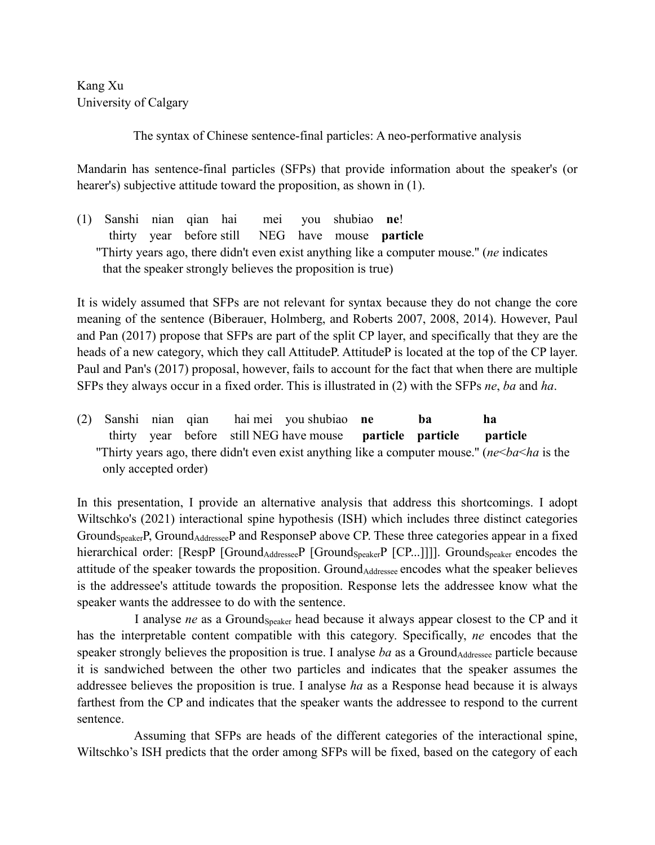Kang Xu University of Calgary

The syntax of Chinese sentence-final particles: A neo-performative analysis

Mandarin has sentence-final particles (SFPs) that provide information about the speaker's (or hearer's) subjective attitude toward the proposition, as shown in (1).

(1) Sanshi nian qian hai mei you shubiao **ne**! thirty year before still NEG have mouse **particle** ''Thirty years ago, there didn't even exist anything like a computer mouse.'' (*ne* indicates that the speaker strongly believes the proposition is true)

It is widely assumed that SFPs are not relevant for syntax because they do not change the core meaning of the sentence (Biberauer, Holmberg, and Roberts 2007, 2008, 2014). However, Paul and Pan (2017) propose that SFPs are part of the split CP layer, and specifically that they are the heads of a new category, which they call AttitudeP. AttitudeP is located at the top of the CP layer. Paul and Pan's (2017) proposal, however, fails to account for the fact that when there are multiple SFPs they always occur in a fixed order. This is illustrated in (2) with the SFPs *ne*, *ba* and *ha*.

(2) Sanshi nian qian hai mei you shubiao **ne ba ha** thirty year before still NEG have mouse **particle particle particle** ''Thirty years ago, there didn't even exist anything like a computer mouse.'' (*ne*<*ba*<*ha* is the only accepted order)

In this presentation, I provide an alternative analysis that address this shortcomings. I adopt Wiltschko's (2021) interactional spine hypothesis (ISH) which includes three distinct categories Ground<sub>Speaker</sub>P, Ground<sub>Addressee</sub>P and ResponseP above CP. These three categories appear in a fixed hierarchical order: [RespP [Ground<sub>Addressee</sub>P [Ground<sub>Speaker</sub>P [CP...]]]]. Ground<sub>Speaker</sub> encodes the attitude of the speaker towards the proposition. GroundAddressee encodes what the speaker believes is the addressee's attitude towards the proposition. Response lets the addressee know what the speaker wants the addressee to do with the sentence.

I analyse *ne* as a Ground<sub>Speaker</sub> head because it always appear closest to the CP and it has the interpretable content compatible with this category. Specifically, *ne* encodes that the speaker strongly believes the proposition is true. I analyse *ba* as a Ground<sub>Addressee</sub> particle because it is sandwiched between the other two particles and indicates that the speaker assumes the addressee believes the proposition is true. I analyse *ha* as a Response head because it is always farthest from the CP and indicates that the speaker wants the addressee to respond to the current sentence.

Assuming that SFPs are heads of the different categories of the interactional spine, Wiltschko's ISH predicts that the order among SFPs will be fixed, based on the category of each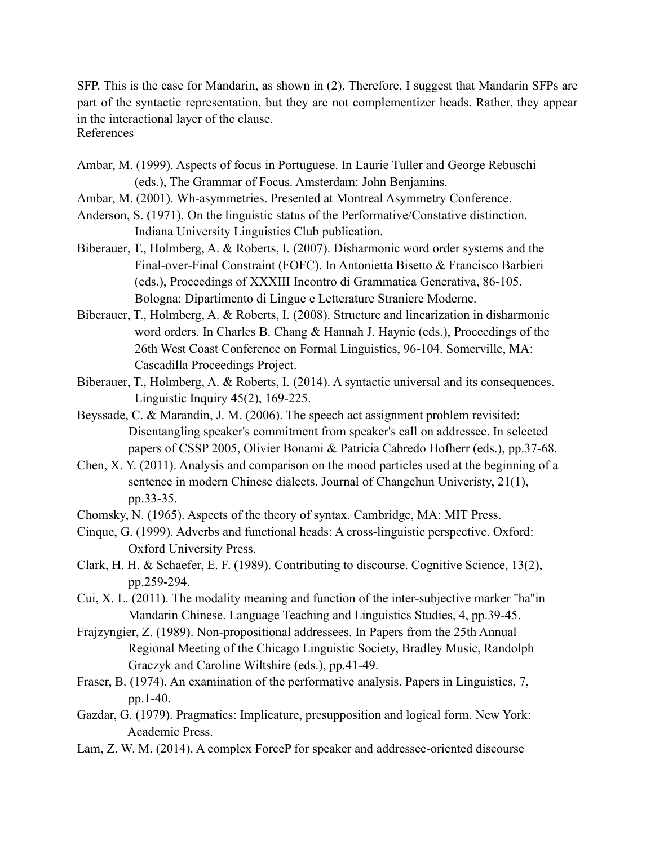SFP. This is the case for Mandarin, as shown in (2). Therefore, I suggest that Mandarin SFPs are part of the syntactic representation, but they are not complementizer heads. Rather, they appear in the interactional layer of the clause. References

- Ambar, M. (1999). Aspects of focus in Portuguese. In Laurie Tuller and George Rebuschi (eds.), The Grammar of Focus. Amsterdam: John Benjamins.
- Ambar, M. (2001). Wh-asymmetries. Presented at Montreal Asymmetry Conference.
- Anderson, S. (1971). On the linguistic status of the Performative/Constative distinction. Indiana University Linguistics Club publication.
- Biberauer, T., Holmberg, A. & Roberts, I. (2007). Disharmonic word order systems and the Final-over-Final Constraint (FOFC). In Antonietta Bisetto & Francisco Barbieri (eds.), Proceedings ofXXXIII Incontro di Grammatica Generativa, 86-105. Bologna: Dipartimento di Lingue e Letterature Straniere Moderne.
- Biberauer, T., Holmberg, A. & Roberts, I. (2008). Structure and linearization in disharmonic word orders. In Charles B. Chang & Hannah J. Haynie (eds.), Proceedings of the 26th West Coast Conference on Formal Linguistics, 96-104. Somerville, MA: Cascadilla Proceedings Project.
- Biberauer, T., Holmberg, A. & Roberts, I. (2014). A syntactic universal and its consequences. Linguistic Inquiry 45(2), 169-225.
- Beyssade, C. & Marandin, J. M. (2006). The speech act assignment problem revisited: Disentangling speaker's commitment from speaker's call on addressee. In selected papers of CSSP 2005, Olivier Bonami & Patricia Cabredo Hofherr (eds.), pp.37-68.
- Chen, X. Y. (2011). Analysis and comparison on the mood particles used at the beginning of a sentence in modern Chinese dialects. Journal of Changchun Univeristy, 21(1), pp.33-35.
- Chomsky, N. (1965). Aspects of the theory of syntax. Cambridge, MA: MIT Press.
- Cinque, G. (1999). Adverbs and functional heads: A cross-linguistic perspective. Oxford: Oxford University Press.
- Clark, H. H. & Schaefer, E. F. (1989). Contributing to discourse. Cognitive Science, 13(2), pp.259-294.
- Cui, X. L. (2011). The modality meaning and function of the inter-subjective marker ''ha''in Mandarin Chinese. Language Teaching and Linguistics Studies, 4, pp.39-45.
- Frajzyngier, Z. (1989). Non-propositional addressees. In Papers from the 25th Annual Regional Meeting of the Chicago Linguistic Society, Bradley Music, Randolph Graczyk and Caroline Wiltshire (eds.), pp.41-49.
- Fraser, B. (1974). An examination of the performative analysis. Papers in Linguistics, 7, pp.1-40.
- Gazdar, G. (1979). Pragmatics: Implicature, presupposition and logical form. New York: Academic Press.
- Lam, Z. W. M. (2014). A complex ForceP for speaker and addressee-oriented discourse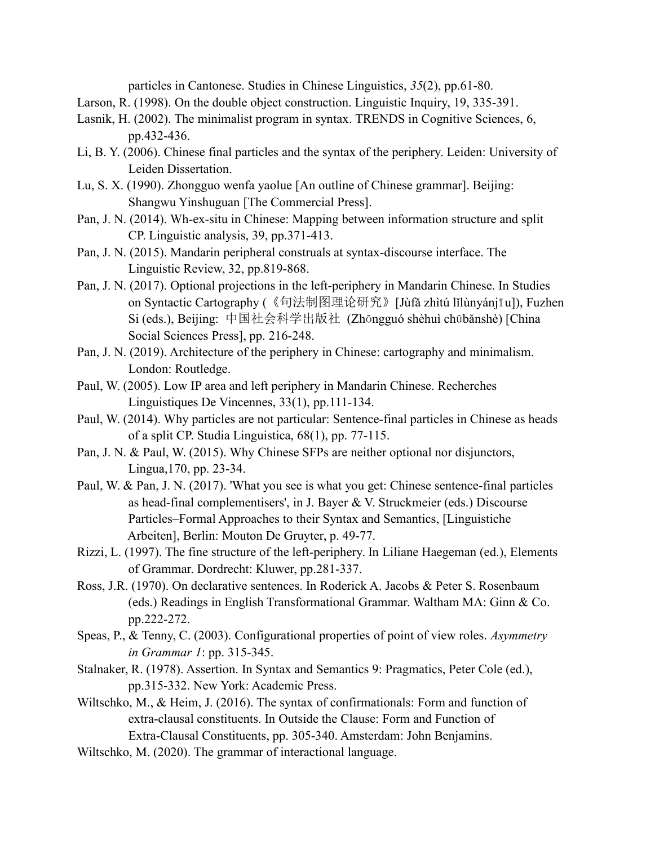particles in Cantonese. Studies in Chinese Linguistics, *35*(2), pp.61-80.

- Larson, R. (1998). On the double object construction. Linguistic Inquiry, 19, 335-391.
- Lasnik, H. (2002). The minimalist program in syntax. TRENDS in Cognitive Sciences, 6, pp.432-436.
- Li, B. Y. (2006). Chinese final particles and the syntax of the periphery. Leiden: University of Leiden Dissertation.
- Lu, S. X. (1990). Zhongguo wenfa yaolue [An outline of Chinese grammar]. Beijing: Shangwu Yinshuguan [The Commercial Press].
- Pan, J. N. (2014). Wh-ex-situ in Chinese: Mapping between information structure and split CP. Linguistic analysis, 39, pp.371-413.
- Pan, J. N. (2015). Mandarin peripheral construals at syntax-discourse interface. The Linguistic Review, 32, pp.819-868.
- Pan, J. N. (2017). Optional projections in the left-periphery in Mandarin Chinese. In Studies on Syntactic Cartography (《句法制图理论研究》[Jùfǎ zhìtú lǐlùnyánjīu]), Fuzhen Si (eds.), Beijing: 中国社会科学出版社 (Zhōngguó shèhuì chūbǎnshè) [China Social Sciences Press], pp. 216-248.
- Pan, J. N. (2019). Architecture of the periphery in Chinese: cartography and minimalism. London: Routledge.
- Paul, W. (2005). Low IP area and left periphery in Mandarin Chinese. Recherches Linguistiques De Vincennes, 33(1), pp.111-134.
- Paul, W. (2014). Why particles are not particular: Sentence-final particles in Chinese as heads of a split CP. Studia Linguistica, 68(1), pp. 77-115.
- Pan, J. N. & Paul, W. (2015). Why Chinese SFPs are neither optional nor disjunctors, Lingua,170, pp. 23-34.
- Paul, W. & Pan, J. N. (2017). 'What you see is what you get: Chinese sentence-final particles as head-final complementisers', in J. Bayer & V. Struckmeier (eds.) Discourse Particles–Formal Approaches to their Syntax and Semantics, [Linguistiche Arbeiten], Berlin: Mouton De Gruyter, p. 49-77.
- Rizzi, L. (1997). The fine structure of the left-periphery. In Liliane Haegeman (ed.), Elements of Grammar. Dordrecht: Kluwer, pp.281-337.
- Ross, J.R. (1970). On declarative sentences. In Roderick A. Jacobs & Peter S. Rosenbaum (eds.) Readings in English Transformational Grammar. Waltham MA: Ginn & Co. pp.222-272.
- Speas, P., & Tenny, C. (2003). Configurational properties of point of view roles. *Asymmetry in Grammar 1*: pp. 315-345.
- Stalnaker, R. (1978). Assertion. In Syntax and Semantics 9: Pragmatics, Peter Cole (ed.), pp.315-332. New York: Academic Press.
- Wiltschko, M., & Heim, J. (2016). The syntax of confirmationals: Form and function of extra-clausal constituents. In Outside the Clause: Form and Function of Extra-Clausal Constituents, pp. 305-340. Amsterdam: John Benjamins.
- Wiltschko, M. (2020). The grammar of interactional language.